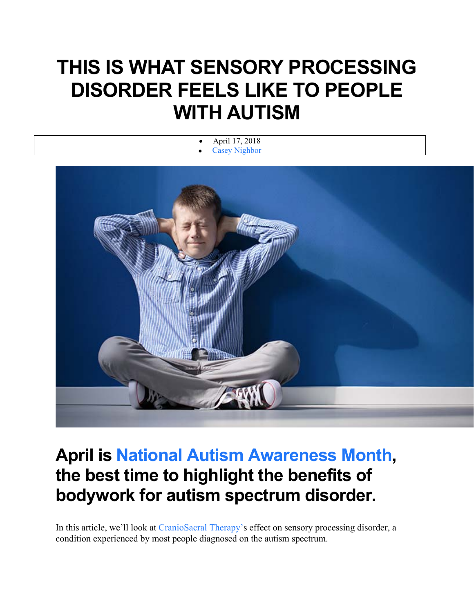# **THIS IS WHAT SENSORY PROCESSING DISORDER FEELS LIKE TO PEOPLE WITH AUTISM**



## **April is National Autism Awareness Month, the best time to highlight the benefits of bodywork for autism spectrum disorder.**

In this article, we'll look at CranioSacral Therapy's effect on sensory processing disorder, a condition experienced by most people diagnosed on the autism spectrum.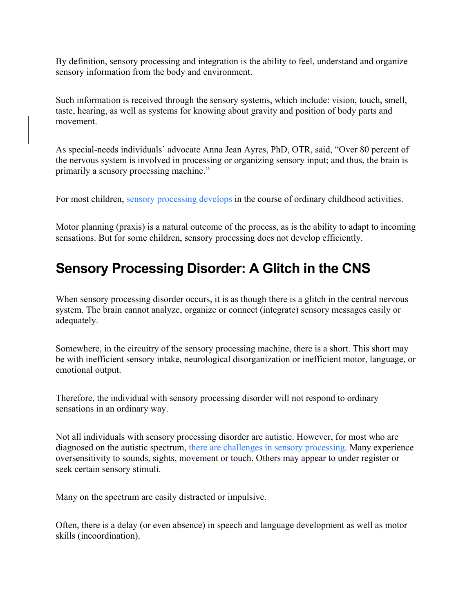By definition, sensory processing and integration is the ability to feel, understand and organize sensory information from the body and environment.

Such information is received through the sensory systems, which include: vision, touch, smell, taste, hearing, as well as systems for knowing about gravity and position of body parts and movement.

As special-needs individuals' advocate Anna Jean Ayres, PhD, OTR, said, "Over 80 percent of the nervous system is involved in processing or organizing sensory input; and thus, the brain is primarily a sensory processing machine."

For most children, sensory processing develops in the course of ordinary childhood activities.

Motor planning (praxis) is a natural outcome of the process, as is the ability to adapt to incoming sensations. But for some children, sensory processing does not develop efficiently.

### **Sensory Processing Disorder: A Glitch in the CNS**

When sensory processing disorder occurs, it is as though there is a glitch in the central nervous system. The brain cannot analyze, organize or connect (integrate) sensory messages easily or adequately.

Somewhere, in the circuitry of the sensory processing machine, there is a short. This short may be with inefficient sensory intake, neurological disorganization or inefficient motor, language, or emotional output.

Therefore, the individual with sensory processing disorder will not respond to ordinary sensations in an ordinary way.

Not all individuals with sensory processing disorder are autistic. However, for most who are diagnosed on the autistic spectrum, there are challenges in sensory processing. Many experience oversensitivity to sounds, sights, movement or touch. Others may appear to under register or seek certain sensory stimuli.

Many on the spectrum are easily distracted or impulsive.

Often, there is a delay (or even absence) in speech and language development as well as motor skills (incoordination).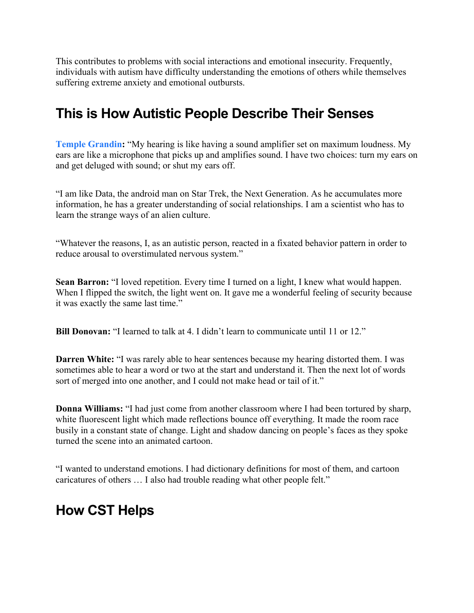This contributes to problems with social interactions and emotional insecurity. Frequently, individuals with autism have difficulty understanding the emotions of others while themselves suffering extreme anxiety and emotional outbursts.

### **This is How Autistic People Describe Their Senses**

**Temple Grandin:** "My hearing is like having a sound amplifier set on maximum loudness. My ears are like a microphone that picks up and amplifies sound. I have two choices: turn my ears on and get deluged with sound; or shut my ears off.

"I am like Data, the android man on Star Trek, the Next Generation. As he accumulates more information, he has a greater understanding of social relationships. I am a scientist who has to learn the strange ways of an alien culture.

"Whatever the reasons, I, as an autistic person, reacted in a fixated behavior pattern in order to reduce arousal to overstimulated nervous system."

**Sean Barron:** "I loved repetition. Every time I turned on a light, I knew what would happen. When I flipped the switch, the light went on. It gave me a wonderful feeling of security because it was exactly the same last time."

**Bill Donovan:** "I learned to talk at 4. I didn't learn to communicate until 11 or 12."

**Darren White:** "I was rarely able to hear sentences because my hearing distorted them. I was sometimes able to hear a word or two at the start and understand it. Then the next lot of words sort of merged into one another, and I could not make head or tail of it."

**Donna Williams:** "I had just come from another classroom where I had been tortured by sharp, white fluorescent light which made reflections bounce off everything. It made the room race busily in a constant state of change. Light and shadow dancing on people's faces as they spoke turned the scene into an animated cartoon.

"I wanted to understand emotions. I had dictionary definitions for most of them, and cartoon caricatures of others … I also had trouble reading what other people felt."

### **How CST Helps**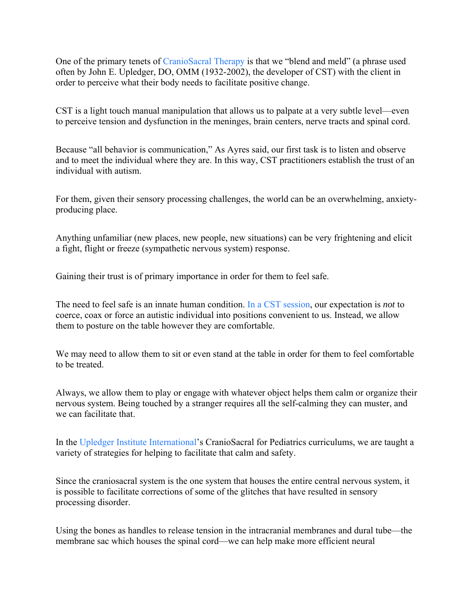One of the primary tenets of CranioSacral Therapy is that we "blend and meld" (a phrase used often by John E. Upledger, DO, OMM (1932-2002), the developer of CST) with the client in order to perceive what their body needs to facilitate positive change.

CST is a light touch manual manipulation that allows us to palpate at a very subtle level—even to perceive tension and dysfunction in the meninges, brain centers, nerve tracts and spinal cord.

Because "all behavior is communication," As Ayres said, our first task is to listen and observe and to meet the individual where they are. In this way, CST practitioners establish the trust of an individual with autism.

For them, given their sensory processing challenges, the world can be an overwhelming, anxietyproducing place.

Anything unfamiliar (new places, new people, new situations) can be very frightening and elicit a fight, flight or freeze (sympathetic nervous system) response.

Gaining their trust is of primary importance in order for them to feel safe.

The need to feel safe is an innate human condition. In a CST session, our expectation is *not* to coerce, coax or force an autistic individual into positions convenient to us. Instead, we allow them to posture on the table however they are comfortable.

We may need to allow them to sit or even stand at the table in order for them to feel comfortable to be treated.

Always, we allow them to play or engage with whatever object helps them calm or organize their nervous system. Being touched by a stranger requires all the self-calming they can muster, and we can facilitate that.

In the Upledger Institute International's CranioSacral for Pediatrics curriculums, we are taught a variety of strategies for helping to facilitate that calm and safety.

Since the craniosacral system is the one system that houses the entire central nervous system, it is possible to facilitate corrections of some of the glitches that have resulted in sensory processing disorder.

Using the bones as handles to release tension in the intracranial membranes and dural tube—the membrane sac which houses the spinal cord—we can help make more efficient neural